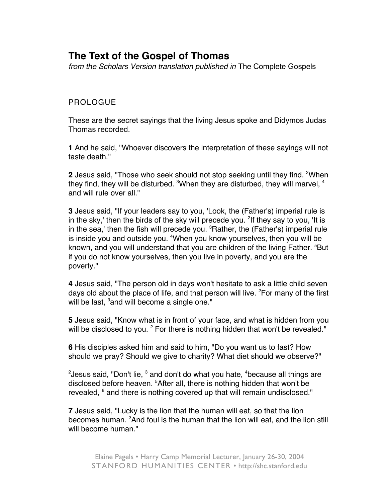## **The Text of the Gospel of Thomas**

from the Scholars Version translation published in The Complete Gospels

## PROLOGUE

These are the secret sayings that the living Jesus spoke and Didymos Judas Thomas recorded.

**1** And he said, "Whoever discovers the interpretation of these sayings will not taste death."

**2** Jesus said, "Those who seek should not stop seeking until they find. <sup>2</sup>When they find, they will be disturbed.  ${}^{3}$ When they are disturbed, they will marvel,  ${}^{4}$ and will rule over all."

**3** Jesus said, "If your leaders say to you, 'Look, the (Father's) imperial rule is in the sky,' then the birds of the sky will precede you. <sup>2</sup>If they say to you, 'It is in the sea,' then the fish will precede you. <sup>3</sup>Rather, the (Father's) imperial rule is inside you and outside you. <sup>4</sup>When you know yourselves, then you will be known, and you will understand that you are children of the living Father. <sup>5</sup>But if you do not know yourselves, then you live in poverty, and you are the poverty."

**4** Jesus said, "The person old in days won't hesitate to ask a little child seven days old about the place of life, and that person will live. <sup>2</sup>For many of the first will be last, <sup>3</sup>and will become a single one."

**5** Jesus said, "Know what is in front of your face, and what is hidden from you will be disclosed to you.  $^2$  For there is nothing hidden that won't be revealed."

**6** His disciples asked him and said to him, "Do you want us to fast? How should we pray? Should we give to charity? What diet should we observe?"

 $^{2}$ Jesus said, "Don't lie,  $^{3}$  and don't do what you hate,  $^{4}$ because all things are disclosed before heaven. <sup>5</sup>After all, there is nothing hidden that won't be revealed,  $^6$  and there is nothing covered up that will remain undisclosed."

**7** Jesus said, "Lucky is the lion that the human will eat, so that the lion becomes human. <sup>2</sup>And foul is the human that the lion will eat, and the lion still will become human."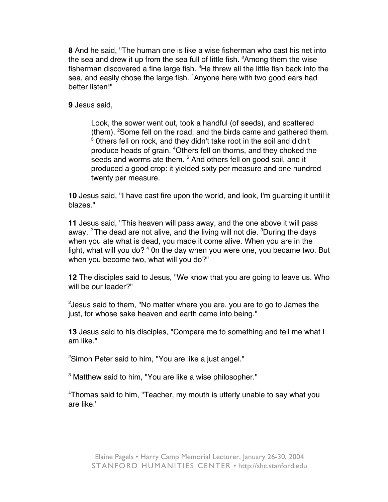**8** And he said, "The human one is like a wise fisherman who cast his net into the sea and drew it up from the sea full of little fish.  ${}^{2}$ Among them the wise fisherman discovered a fine large fish. <sup>3</sup>He threw all the little fish back into the sea, and easily chose the large fish. <sup>4</sup>Anyone here with two good ears had better listen!"

**9** Jesus said,

Look, the sower went out, took a handful (of seeds), and scattered (them). <sup>2</sup> Some fell on the road, and the birds came and gathered them.  $3$  0thers fell on rock, and they didn't take root in the soil and didn't produce heads of grain. <sup>4</sup>Others fell on thorns, and they choked the seeds and worms ate them. <sup>5</sup> And others fell on good soil, and it produced a good crop: it yielded sixty per measure and one hundred twenty per measure.

**10** Jesus said, "I have cast fire upon the world, and look, I'm guarding it until it blazes."

**11** Jesus said, "This heaven will pass away, and the one above it will pass away. <sup>2</sup> The dead are not alive, and the living will not die. <sup>3</sup>During the days when you ate what is dead, you made it come alive. When you are in the light, what will you do? <sup>4</sup> On the day when you were one, you became two. But when you become two, what will you do?"

**12** The disciples said to Jesus, "We know that you are going to leave us. Who will be our leader?"

 $^{2}$ Jesus said to them, "No matter where you are, you are to go to James the just, for whose sake heaven and earth came into being."

**13** Jesus said to his disciples, "Compare me to something and tell me what I am like."

<sup>2</sup>Simon Peter said to him, "You are like a just angel."

 $^3$  Matthew said to him, "You are like a wise philosopher."

4 Thomas said to him, "Teacher, my mouth is utterly unable to say what you are like."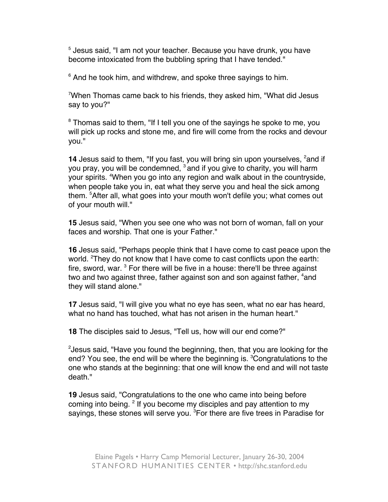5 Jesus said, "I am not your teacher. Because you have drunk, you have become intoxicated from the bubbling spring that I have tended."

 $6$  And he took him, and withdrew, and spoke three sayings to him.

 $7$ When Thomas came back to his friends, they asked him, "What did Jesus say to you?"

<sup>8</sup> Thomas said to them, "If I tell you one of the sayings he spoke to me, you will pick up rocks and stone me, and fire will come from the rocks and devour you."

**14** Jesus said to them, "If you fast, you will bring sin upon yourselves, <sup>2</sup>and if you pray, you will be condemned, <sup>3</sup> and if you give to charity, you will harm your spirits. <sup>4</sup>When you go into any region and walk about in the countryside, when people take you in, eat what they serve you and heal the sick among them. <sup>5</sup>After all, what goes into your mouth won't defile you; what comes out of your mouth will."

**15** Jesus said, "When you see one who was not born of woman, fall on your faces and worship. That one is your Father."

**16** Jesus said, "Perhaps people think that I have come to cast peace upon the world. <sup>2</sup>They do not know that I have come to cast conflicts upon the earth: fire, sword, war. <sup>3</sup> For there will be five in a house: there'll be three against two and two against three, father against son and son against father, <sup>4</sup>and they will stand alone."

**17** Jesus said, "I will give you what no eye has seen, what no ear has heard, what no hand has touched, what has not arisen in the human heart."

**18** The disciples said to Jesus, "Tell us, how will our end come?"

 $^{2}$ Jesus said, "Have you found the beginning, then, that you are looking for the end? You see, the end will be where the beginning is. <sup>3</sup>Congratulations to the one who stands at the beginning: that one will know the end and will not taste death"

**19** Jesus said, "Congratulations to the one who came into being before coming into being. <sup>2</sup> If you become my disciples and pay attention to my sayings, these stones will serve you. <sup>3</sup>For there are five trees in Paradise for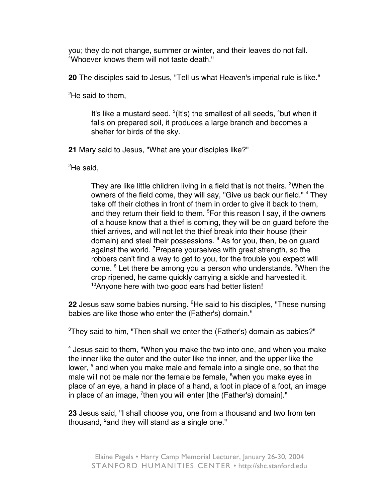you; they do not change, summer or winter, and their leaves do not fall. 4 Whoever knows them will not taste death."

**20** The disciples said to Jesus, "Tell us what Heaven's imperial rule is like."

<sup>2</sup>He said to them,

It's like a mustard seed.  $3(1t\text{'s})$  the smallest of all seeds,  $4$ but when it falls on prepared soil, it produces a large branch and becomes a shelter for birds of the sky.

**21** Mary said to Jesus, "What are your disciples like?"

<sup>2</sup>He said,

They are like little children living in a field that is not theirs. <sup>3</sup>When the owners of the field come, they will say, "Give us back our field." <sup>4</sup> They take off their clothes in front of them in order to give it back to them, and they return their field to them. <sup>5</sup>For this reason I say, if the owners of a house know that a thief is coming, they will be on guard before the thief arrives, and will not let the thief break into their house (their domain) and steal their possessions. <sup>6</sup> As for you, then, be on guard against the world. <sup>7</sup>Prepare yourselves with great strength, so the robbers can't find a way to get to you, for the trouble you expect will come. <sup>8</sup> Let there be among you a person who understands. <sup>9</sup>When the crop ripened, he came quickly carrying a sickle and harvested it. <sup>10</sup>Anyone here with two good ears had better listen!

22 Jesus saw some babies nursing. <sup>2</sup>He said to his disciples, "These nursing babies are like those who enter the (Father's) domain."

 $3$ They said to him, "Then shall we enter the (Father's) domain as babies?"

<sup>4</sup> Jesus said to them, "When you make the two into one, and when you make the inner like the outer and the outer like the inner, and the upper like the lower, <sup>5</sup> and when you make male and female into a single one, so that the male will not be male nor the female be female,  $^6$ when you make eyes in place of an eye, a hand in place of a hand, a foot in place of a foot, an image in place of an image, <sup>7</sup>then you will enter [the (Father's) domain]."

**23** Jesus said, "I shall choose you, one from a thousand and two from ten thousand, <sup>2</sup>and they will stand as a single one."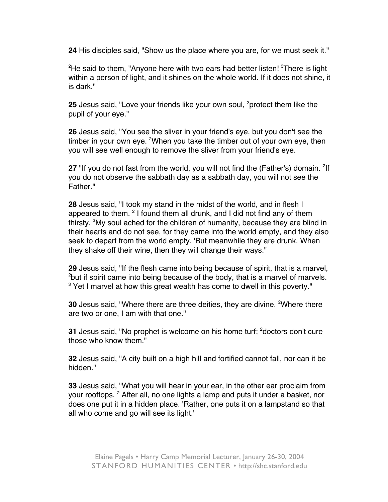**24** His disciples said, "Show us the place where you are, for we must seek it."

 $^{2}$ He said to them, "Anyone here with two ears had better listen!  $^{3}$ There is light within a person of light, and it shines on the whole world. If it does not shine, it is dark."

**25** Jesus said, "Love your friends like your own soul, <sup>2</sup>protect them like the pupil of your eye."

**26** Jesus said, "You see the sliver in your friend's eye, but you don't see the timber in your own eye. <sup>2</sup>When you take the timber out of your own eye, then you will see well enough to remove the sliver from your friend's eye.

27 "If you do not fast from the world, you will not find the (Father's) domain. <sup>2</sup>If you do not observe the sabbath day as a sabbath day, you will not see the Father."

**28** Jesus said, "I took my stand in the midst of the world, and in flesh I appeared to them.  $2$  I found them all drunk, and I did not find any of them thirsty. <sup>3</sup>My soul ached for the children of humanity, because they are blind in their hearts and do not see, for they came into the world empty, and they also seek to depart from the world empty. 'But meanwhile they are drunk. When they shake off their wine, then they will change their ways."

**29** Jesus said, "If the flesh came into being because of spirit, that is a marvel, <sup>2</sup>but if spirit came into being because of the body, that is a marvel of marvels.  $3$  Yet I marvel at how this great wealth has come to dwell in this poverty."

**30** Jesus said, "Where there are three deities, they are divine. <sup>2</sup>Where there are two or one, I am with that one."

**31** Jesus said, "No prophet is welcome on his home turf; <sup>2</sup>doctors don't cure those who know them."

**32** Jesus said, "A city built on a high hill and fortified cannot fall, nor can it be hidden."

**33** Jesus said, "What you will hear in your ear, in the other ear proclaim from your rooftops. <sup>2</sup> After all, no one lights a lamp and puts it under a basket, nor does one put it in a hidden place. 'Rather, one puts it on a lampstand so that all who come and go will see its light."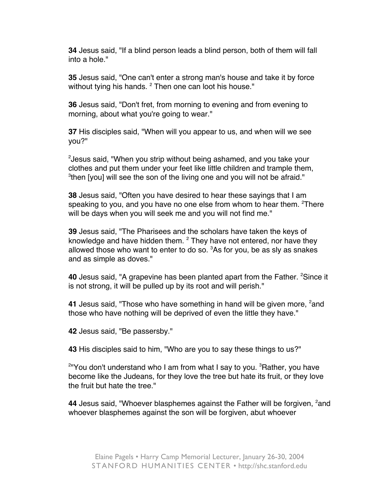**34** Jesus said, "If a blind person leads a blind person, both of them will fall into a hole."

**35** Jesus said, "One can't enter a strong man's house and take it by force without tying his hands. <sup>2</sup> Then one can loot his house."

**36** Jesus said, "Don't fret, from morning to evening and from evening to morning, about what you're going to wear."

**37** His disciples said, "When will you appear to us, and when will we see you?"

2 Jesus said, "When you strip without being ashamed, and you take your clothes and put them under your feet like little children and trample them, <sup>3</sup>then [you] will see the son of the living one and you will not be afraid."

**38** Jesus said, "Often you have desired to hear these sayings that I am speaking to you, and you have no one else from whom to hear them. <sup>2</sup>There will be days when you will seek me and you will not find me."

**39** Jesus said, "The Pharisees and the scholars have taken the keys of knowledge and have hidden them.  $^2$  They have not entered, nor have they allowed those who want to enter to do so. <sup>3</sup>As for you, be as sly as snakes and as simple as doves."

**40** Jesus said, "A grapevine has been planted apart from the Father. <sup>2</sup>Since it is not strong, it will be pulled up by its root and will perish."

**41** Jesus said, "Those who have something in hand will be given more, <sup>2</sup>and those who have nothing will be deprived of even the little they have."

**42** Jesus said, "Be passersby."

**43** His disciples said to him, "Who are you to say these things to us?"

<sup>2</sup>"You don't understand who I am from what I say to you. <sup>3</sup>Rather, you have become like the Judeans, for they love the tree but hate its fruit, or they love the fruit but hate the tree."

**44** Jesus said, "Whoever blasphemes against the Father will be forgiven, <sup>2</sup>and whoever blasphemes against the son will be forgiven, abut whoever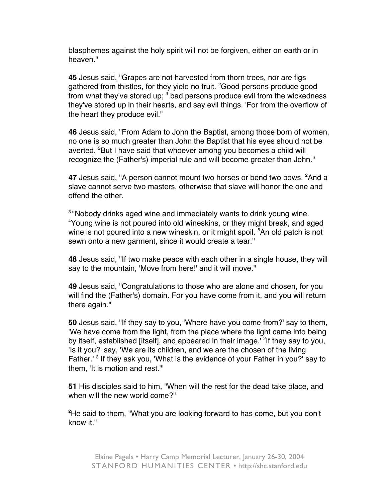blasphemes against the holy spirit will not be forgiven, either on earth or in heaven."

**45** Jesus said, "Grapes are not harvested from thorn trees, nor are figs gathered from thistles, for they yield no fruit. <sup>2</sup>Good persons produce good from what they've stored up;  $^3$  bad persons produce evil from the wickedness they've stored up in their hearts, and say evil things. 'For from the overflow of the heart they produce evil."

**46** Jesus said, "From Adam to John the Baptist, among those born of women, no one is so much greater than John the Baptist that his eyes should not be averted. <sup>2</sup>But I have said that whoever among you becomes a child will recognize the (Father's) imperial rule and will become greater than John."

**47** Jesus said, "A person cannot mount two horses or bend two bows. <sup>2</sup>And a slave cannot serve two masters, otherwise that slave will honor the one and offend the other.

<sup>3</sup> "Nobody drinks aged wine and immediately wants to drink young wine. 4 Young wine is not poured into old wineskins, or they might break, and aged wine is not poured into a new wineskin, or it might spoil. <sup>5</sup>An old patch is not sewn onto a new garment, since it would create a tear."

**48** Jesus said, "If two make peace with each other in a single house, they will say to the mountain, 'Move from here!' and it will move."

**49** Jesus said, "Congratulations to those who are alone and chosen, for you will find the (Father's) domain. For you have come from it, and you will return there again."

**50** Jesus said, "If they say to you, 'Where have you come from?' say to them, 'We have come from the light, from the place where the light came into being by itself, established [itself], and appeared in their image.' <sup>2</sup>If they say to you, 'Is it you?' say, 'We are its children, and we are the chosen of the living Father.<sup>' 3</sup> If they ask you, 'What is the evidence of your Father in you?' say to them, 'It is motion and rest.'"

**51** His disciples said to him, "When will the rest for the dead take place, and when will the new world come?"

<sup>2</sup>He said to them, "What you are looking forward to has come, but you don't know it."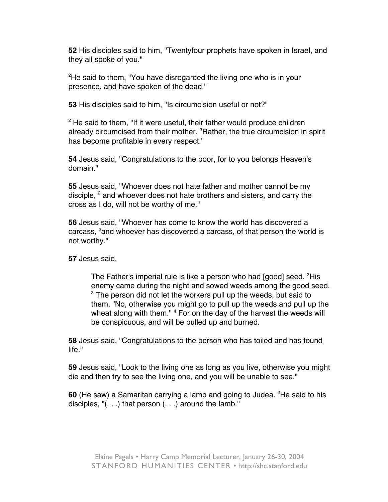**52** His disciples said to him, "Twentyfour prophets have spoken in Israel, and they all spoke of you."

<sup>2</sup>He said to them, "You have disregarded the living one who is in your presence, and have spoken of the dead."

**53** His disciples said to him, "Is circumcision useful or not?"

<sup>2</sup> He said to them, "If it were useful, their father would produce children already circumcised from their mother. <sup>3</sup>Rather, the true circumcision in spirit has become profitable in every respect."

**54** Jesus said, "Congratulations to the poor, for to you belongs Heaven's domain."

**55** Jesus said, "Whoever does not hate father and mother cannot be my disciple,  $^2$  and whoever does not hate brothers and sisters, and carry the cross as I do, will not be worthy of me."

**56** Jesus said, "Whoever has come to know the world has discovered a carcass, <sup>2</sup>and whoever has discovered a carcass, of that person the world is not worthy."

**57** Jesus said,

The Father's imperial rule is like a person who had [good] seed. <sup>2</sup>His enemy came during the night and sowed weeds among the good seed.  $3$  The person did not let the workers pull up the weeds, but said to them, "No, otherwise you might go to pull up the weeds and pull up the wheat along with them." <sup>4</sup> For on the day of the harvest the weeds will be conspicuous, and will be pulled up and burned.

**58** Jesus said, "Congratulations to the person who has toiled and has found life."

**59** Jesus said, "Look to the living one as long as you live, otherwise you might die and then try to see the living one, and you will be unable to see."

**60** (He saw) a Samaritan carrying a lamb and going to Judea. <sup>2</sup>He said to his disciples, "(. . .) that person (. . .) around the lamb."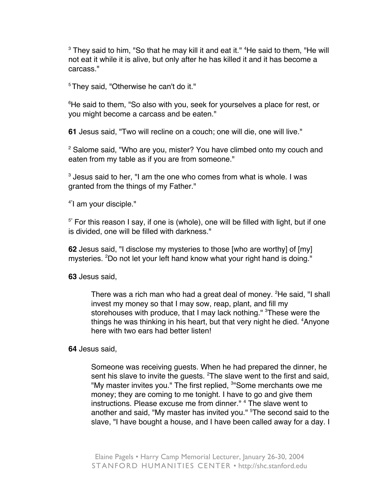$^3$  They said to him, "So that he may kill it and eat it."  $^4$ He said to them, "He will not eat it while it is alive, but only after he has killed it and it has become a carcass."

<sup>5</sup> They said, "Otherwise he can't do it."

 $^6$ He said to them, "So also with you, seek for yourselves a place for rest, or you might become a carcass and be eaten."

**61** Jesus said, "Two will recline on a couch; one will die, one will live."

<sup>2</sup> Salome said, "Who are you, mister? You have climbed onto my couch and eaten from my table as if you are from someone."

 $^3$  Jesus said to her, "I am the one who comes from what is whole. I was granted from the things of my Father."

4"I am your disciple."

 $5$ " For this reason I say, if one is (whole), one will be filled with light, but if one is divided, one will be filled with darkness."

**62** Jesus said, "I disclose my mysteries to those [who are worthy] of [my] mysteries. <sup>2</sup>Do not let your left hand know what your right hand is doing."

**63** Jesus said,

There was a rich man who had a great deal of money. <sup>2</sup>He said, "I shall invest my money so that I may sow, reap, plant, and fill my storehouses with produce, that I may lack nothing." <sup>3</sup>These were the things he was thinking in his heart, but that very night he died. <sup>4</sup>Anyone here with two ears had better listen!

**64** Jesus said,

Someone was receiving guests. When he had prepared the dinner, he sent his slave to invite the guests.  ${}^{2}$ The slave went to the first and said, "My master invites you." The first replied, <sup>3</sup>"Some merchants owe me money; they are coming to me tonight. I have to go and give them instructions. Please excuse me from dinner." <sup>4</sup> The slave went to another and said, "My master has invited you." <sup>5</sup>The second said to the slave, "I have bought a house, and I have been called away for a day. I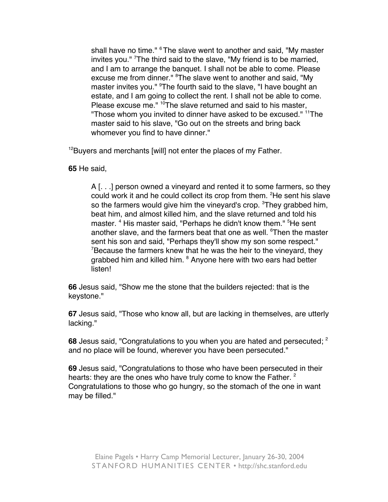shall have no time." <sup>6</sup> The slave went to another and said, "My master invites you." <sup>7</sup>The third said to the slave, "My friend is to be married, and I am to arrange the banquet. I shall not be able to come. Please excuse me from dinner." <sup>8</sup>The slave went to another and said, "My master invites you." <sup>9</sup>The fourth said to the slave, "I have bought an estate, and I am going to collect the rent. I shall not be able to come. Please excuse me." <sup>10</sup>The slave returned and said to his master, "Those whom you invited to dinner have asked to be excused." 11The master said to his slave, "Go out on the streets and bring back whomever you find to have dinner."

<sup>12</sup>Buyers and merchants [will] not enter the places of my Father.

**65** He said,

A [. . .] person owned a vineyard and rented it to some farmers, so they could work it and he could collect its crop from them. <sup>2</sup>He sent his slave so the farmers would give him the vineyard's crop. <sup>3</sup>They grabbed him, beat him, and almost killed him, and the slave returned and told his master. <sup>4</sup> His master said, "Perhaps he didn't know them." <sup>5</sup>He sent another slave, and the farmers beat that one as well. <sup>6</sup>Then the master sent his son and said, "Perhaps they'll show my son some respect."  $7$ Because the farmers knew that he was the heir to the vineyard, they grabbed him and killed him. <sup>8</sup> Anyone here with two ears had better listen!

**66** Jesus said, "Show me the stone that the builders rejected: that is the keystone."

**67** Jesus said, "Those who know all, but are lacking in themselves, are utterly lacking."

**68** Jesus said, "Congratulations to you when you are hated and persecuted; 2 and no place will be found, wherever you have been persecuted."

**69** Jesus said, "Congratulations to those who have been persecuted in their hearts: they are the ones who have truly come to know the Father.  $2$ Congratulations to those who go hungry, so the stomach of the one in want may be filled."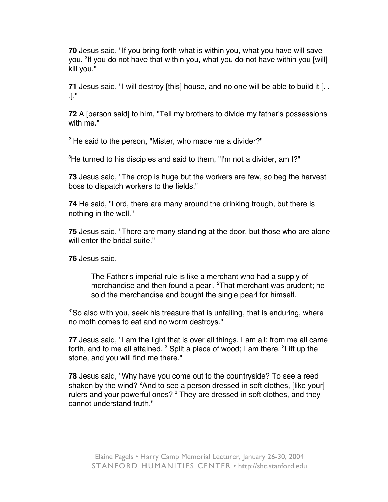**70** Jesus said, "If you bring forth what is within you, what you have will save you. <sup>2</sup>lf you do not have that within you, what you do not have within you [will] kill you."

**71** Jesus said, "I will destroy [this] house, and no one will be able to build it [. . .]."

**72** A [person said] to him, "Tell my brothers to divide my father's possessions with me."

 $2$  He said to the person, "Mister, who made me a divider?"

 $3$ He turned to his disciples and said to them, "I'm not a divider, am I?"

**73** Jesus said, "The crop is huge but the workers are few, so beg the harvest boss to dispatch workers to the fields."

**74** He said, "Lord, there are many around the drinking trough, but there is nothing in the well."

**75** Jesus said, "There are many standing at the door, but those who are alone will enter the bridal suite."

**76** Jesus said,

The Father's imperial rule is like a merchant who had a supply of merchandise and then found a pearl. <sup>2</sup>That merchant was prudent; he sold the merchandise and bought the single pearl for himself.

 $3"$ So also with you, seek his treasure that is unfailing, that is enduring, where no moth comes to eat and no worm destroys."

**77** Jesus said, "I am the light that is over all things. I am all: from me all came forth, and to me all attained.  $^2$  Split a piece of wood; I am there.  $^3$ Lift up the stone, and you will find me there."

**78** Jesus said, "Why have you come out to the countryside? To see a reed shaken by the wind? <sup>2</sup>And to see a person dressed in soft clothes, [like your] rulers and your powerful ones? <sup>3</sup> They are dressed in soft clothes, and they cannot understand truth."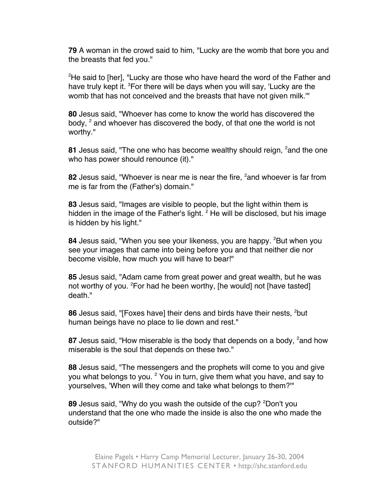**79** A woman in the crowd said to him, "Lucky are the womb that bore you and the breasts that fed you."

<sup>2</sup>He said to [her], "Lucky are those who have heard the word of the Father and have truly kept it. <sup>3</sup>For there will be days when you will say, 'Lucky are the womb that has not conceived and the breasts that have not given milk.'"

**80** Jesus said, "Whoever has come to know the world has discovered the body,  $^2$  and whoever has discovered the body, of that one the world is not worthy."

**81** Jesus said, "The one who has become wealthy should reign, <sup>2</sup>and the one who has power should renounce (it)."

**82** Jesus said, "Whoever is near me is near the fire, <sup>2</sup>and whoever is far from me is far from the (Father's) domain."

**83** Jesus said, "Images are visible to people, but the light within them is hidden in the image of the Father's light. <sup>2</sup> He will be disclosed, but his image is hidden by his light."

84 Jesus said, "When you see your likeness, you are happy. <sup>2</sup>But when you see your images that came into being before you and that neither die nor become visible, how much you will have to bear!"

**85** Jesus said, "Adam came from great power and great wealth, but he was not worthy of you. <sup>2</sup>For had he been worthy, [he would] not [have tasted] death."

**86** Jesus said, "[Foxes have] their dens and birds have their nests, <sup>2</sup>but human beings have no place to lie down and rest."

**87** Jesus said, "How miserable is the body that depends on a body, <sup>2</sup>and how miserable is the soul that depends on these two."

**88** Jesus said, "The messengers and the prophets will come to you and give you what belongs to you. <sup>2</sup> You in turn, give them what you have, and say to yourselves, 'When will they come and take what belongs to them?'"

**89** Jesus said, "Why do you wash the outside of the cup? <sup>2</sup>Don't you understand that the one who made the inside is also the one who made the outside?"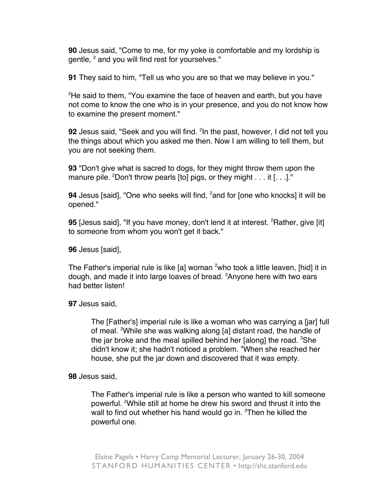**90** Jesus said, "Come to me, for my yoke is comfortable and my lordship is gentle, <sup>2</sup> and you will find rest for yourselves."

**91** They said to him, "Tell us who you are so that we may believe in you."

<sup>2</sup>He said to them, "You examine the face of heaven and earth, but you have not come to know the one who is in your presence, and you do not know how to examine the present moment."

**92** Jesus said, "Seek and you will find. <sup>2</sup>In the past, however, I did not tell you the things about which you asked me then. Now I am willing to tell them, but you are not seeking them.

**93** "Don't give what is sacred to dogs, for they might throw them upon the manure pile. <sup>2</sup>Don't throw pearls [to] pigs, or they might . . . it [. . .]."

**94** Jesus [said], "One who seeks will find, <sup>2</sup>and for [one who knocks] it will be opened."

**95** [Jesus said], "If you have money, don't lend it at interest. <sup>2</sup>Rather, give [it] to someone from whom you won't get it back."

**96** Jesus [said],

The Father's imperial rule is like [a] woman <sup>2</sup>who took a little leaven, [hid] it in dough, and made it into large loaves of bread. <sup>3</sup>Anyone here with two ears had better listen!

**97** Jesus said,

The [Father's] imperial rule is like a woman who was carrying a [jar] full of meal. <sup>2</sup>While she was walking along [a] distant road, the handle of the jar broke and the meal spilled behind her [along] the road.  ${}^{3}$ She didn't know it; she hadn't noticed a problem. <sup>4</sup>When she reached her house, she put the jar down and discovered that it was empty.

**98** Jesus said,

The Father's imperial rule is like a person who wanted to kill someone powerful. <sup>2</sup>While still at home he drew his sword and thrust it into the wall to find out whether his hand would go in. <sup>3</sup>Then he killed the powerful one.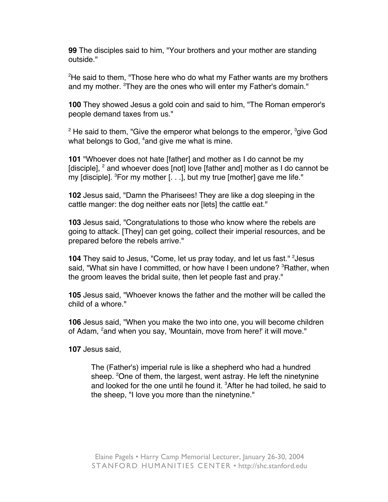**99** The disciples said to him, "Your brothers and your mother are standing outside."

<sup>2</sup>He said to them, "Those here who do what my Father wants are my brothers and my mother. <sup>3</sup>They are the ones who will enter my Father's domain."

**100** They showed Jesus a gold coin and said to him, "The Roman emperor's people demand taxes from us."

 $^2$  He said to them, "Give the emperor what belongs to the emperor,  $^3$ give God what belongs to God, <sup>4</sup>and give me what is mine.

**101** "Whoever does not hate [father] and mother as I do cannot be my [disciple],  $^2$  and whoever does [not] love [father and] mother as I do cannot be my [disciple]. <sup>3</sup>For my mother [. . .], but my true [mother] gave me life."

**102** Jesus said, "Damn the Pharisees! They are like a dog sleeping in the cattle manger: the dog neither eats nor [lets] the cattle eat."

**103** Jesus said, "Congratulations to those who know where the rebels are going to attack. [They] can get going, collect their imperial resources, and be prepared before the rebels arrive."

**104** They said to Jesus, "Come, let us pray today, and let us fast." <sup>2</sup> Jesus said, "What sin have I committed, or how have I been undone? <sup>3</sup>Rather, when the groom leaves the bridal suite, then let people fast and pray."

**105** Jesus said, "Whoever knows the father and the mother will be called the child of a whore."

**106** Jesus said, "When you make the two into one, you will become children of Adam, <sup>2</sup>and when you say, 'Mountain, move from here!' it will move."

**107** Jesus said,

The (Father's) imperial rule is like a shepherd who had a hundred sheep. <sup>2</sup>One of them, the largest, went astray. He left the ninetynine and looked for the one until he found it. <sup>3</sup>After he had toiled, he said to the sheep, "I love you more than the ninetynine."